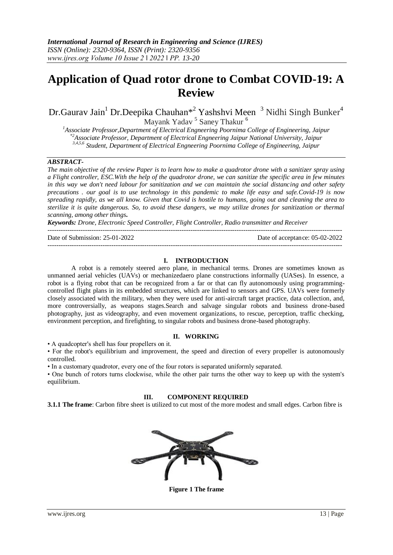# **Application of Quad rotor drone to Combat COVID-19: A Review**

Dr.Gaurav Jain<sup>1</sup> Dr.Deepika Chauhan\*<sup>2</sup> Yashshvi Meen  $\,$ <sup>3</sup> Nidhi Singh Bunker<sup>4</sup> Mayank Yadav <sup>5</sup> Saney Thakur <sup>6</sup>

*<sup>1</sup>Associate Professor,Department of Electrical Engneering Poornima College of Engineering, Jaipur \*2Associate Professor, Department of Electrical Engneering Jaipur National University, Jaipur 3,4,5,6 Student, Department of Electrical Engneering Poornima College of Engineering, Jaipur*

## *ABSTRACT-*

*The main objective of the review Paper is to learn how to make a quadrotor drone with a sanitizer spray using a Flight controller, ESC.With the help of the quadrotor drone, we can sanitize the specific area in few minutes in this way we don't need labour for sanitization and we can maintain the social distancing and other safety precautions . our goal is to use technology in this pandemic to make life easy and safe.Covid-19 is now spreading rapidly, as we all know. Given that Covid is hostile to humans, going out and cleaning the area to sterilize it is quite dangerous. So, to avoid these dangers, we may utilize drones for sanitization or thermal scanning, among other things***.**

*Keywords: Drone, Electronic Speed Controller, Flight Controller, Radio transmitter and Receiver*

-------------------------------------------------------------------------------------------------------------------------------------- Date of Submission: 25-01-2022 Date of acceptance: 05-02-2022

## **I. INTRODUCTION**

--------------------------------------------------------------------------------------------------------------------------------------

A robot is a remotely steered aero plane, in mechanical terms. Drones are sometimes known as unmanned aerial vehicles (UAVs) or mechanizedaero plane constructions informally (UASes). In essence, a robot is a flying robot that can be recognized from a far or that can fly autonomously using programmingcontrolled flight plans in its embedded structures, which are linked to sensors and GPS. UAVs were formerly closely associated with the military, when they were used for anti-aircraft target practice, data collection, and, more controversially, as weapons stages.Search and salvage singular robots and business drone-based photography, just as videography, and even movement organizations, to rescue, perception, traffic checking, environment perception, and firefighting, to singular robots and business drone-based photography.

#### **II. WORKING**

• A quadcopter's shell has four propellers on it.

• For the robot's equilibrium and improvement, the speed and direction of every propeller is autonomously controlled.

• In a customary quadrotor, every one of the four rotors is separated uniformly separated.

• One bunch of rotors turns clockwise, while the other pair turns the other way to keep up with the system's equilibrium.

#### **III. COMPONENT REQUIRED**

**3.1.1 The frame**: Carbon fibre sheet is utilized to cut most of the more modest and small edges. Carbon fibre is



**Figure 1 The frame**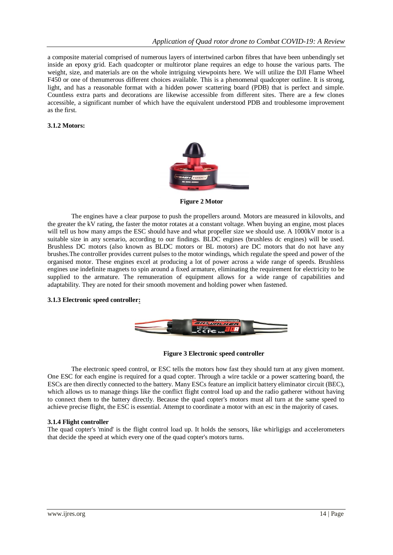a composite material comprised of numerous layers of intertwined carbon fibres that have been unbendingly set inside an epoxy grid. Each quadcopter or multirotor plane requires an edge to house the various parts. The weight, size, and materials are on the whole intriguing viewpoints here. We will utilize the DJI Flame Wheel F450 or one of thenumerous different choices available. This is a phenomenal quadcopter outline. It is strong, light, and has a reasonable format with a hidden power scattering board (PDB) that is perfect and simple. Countless extra parts and decorations are likewise accessible from different sites. There are a few clones accessible, a significant number of which have the equivalent understood PDB and troublesome improvement as the first.

#### **3.1.2 Motors:**



 **Figure 2 Motor**

The engines have a clear purpose to push the propellers around. Motors are measured in kilovolts, and the greater the kV rating, the faster the motor rotates at a constant voltage. When buying an engine, most places will tell us how many amps the ESC should have and what propeller size we should use. A 1000kV motor is a suitable size in any scenario, according to our findings. BLDC engines (brushless dc engines) will be used. Brushless DC motors (also known as BLDC motors or BL motors) are DC motors that do not have any brushes.The controller provides current pulses to the motor windings, which regulate the speed and power of the organised motor. These engines excel at producing a lot of power across a wide range of speeds. Brushless engines use indefinite magnets to spin around a fixed armature, eliminating the requirement for electricity to be supplied to the armature. The remuneration of equipment allows for a wide range of capabilities and adaptability. They are noted for their smooth movement and holding power when fastened.

#### **3.1.3 Electronic speed controller:**



#### **Figure 3 Electronic speed controller**

The electronic speed control, or ESC tells the motors how fast they should turn at any given moment. One ESC for each engine is required for a quad copter. Through a wire tackle or a power scattering board, the ESCs are then directly connected to the battery. Many ESCs feature an implicit battery eliminator circuit (BEC), which allows us to manage things like the conflict flight control load up and the radio gatherer without having to connect them to the battery directly. Because the quad copter's motors must all turn at the same speed to achieve precise flight, the ESC is essential. Attempt to coordinate a motor with an esc in the majority of cases.

#### **3.1.4 Flight controller**

The quad copter's 'mind' is the flight control load up. It holds the sensors, like whirligigs and accelerometers that decide the speed at which every one of the quad copter's motors turns.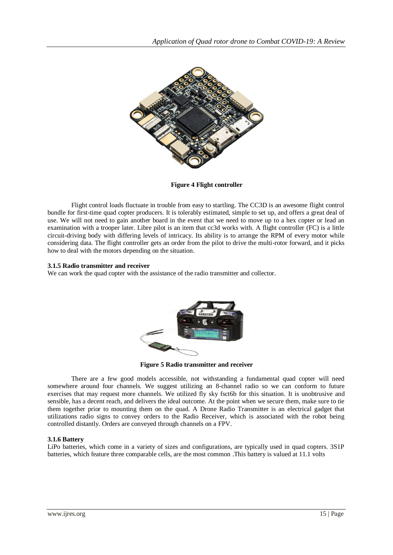

 **Figure 4 Flight controller**

Flight control loads fluctuate in trouble from easy to startling. The CC3D is an awesome flight control bundle for first-time quad copter producers. It is tolerably estimated, simple to set up, and offers a great deal of use. We will not need to gain another board in the event that we need to move up to a hex copter or lead an examination with a trooper later. Libre pilot is an item that cc3d works with. A flight controller (FC) is a little circuit-driving body with differing levels of intricacy. Its ability is to arrange the RPM of every motor while considering data. The flight controller gets an order from the pilot to drive the multi-rotor forward, and it picks how to deal with the motors depending on the situation.

#### **3.1.5 Radio transmitter and receiver**

We can work the quad copter with the assistance of the radio transmitter and collector.



**Figure 5 Radio transmitter and receiver**

There are a few good models accessible, not withstanding a fundamental quad copter will need somewhere around four channels. We suggest utilizing an 8-channel radio so we can conform to future exercises that may request more channels. We utilized fly sky fsct6b for this situation. It is unobtrusive and sensible, has a decent reach, and delivers the ideal outcome. At the point when we secure them, make sure to tie them together prior to mounting them on the quad. A Drone Radio Transmitter is an electrical gadget that utilizations radio signs to convey orders to the Radio Receiver, which is associated with the robot being controlled distantly. Orders are conveyed through channels on a FPV.

## **3.1.6 Battery**

LiPo batteries, which come in a variety of sizes and configurations, are typically used in quad copters. 3S1P batteries, which feature three comparable cells, are the most common .This battery is valued at 11.1 volts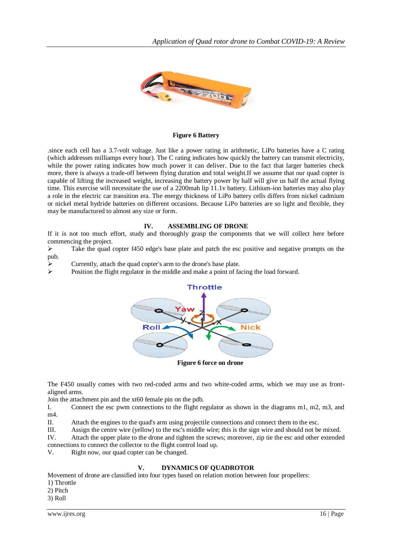

#### **Figure 6 Battery**

.since each cell has a 3.7-volt voltage. Just like a power rating in arithmetic, LiPo batteries have a C rating (which addresses milliamps every hour). The C rating indicates how quickly the battery can transmit electricity, while the power rating indicates how much power it can deliver. Due to the fact that larger batteries check more, there is always a trade-off between flying duration and total weight.If we assume that our quad copter is capable of lifting the increased weight, increasing the battery power by half will give us half the actual flying time. This exercise will necessitate the use of a 2200mah lip 11.1v battery. Lithium-ion batteries may also play a role in the electric car transition era. The energy thickness of LiPo battery cells differs from nickel cadmium or nickel metal hydride batteries on different occasions. Because LiPo batteries are so light and flexible, they may be manufactured to almost any size or form.

#### **IV. ASSEMBLING OF DRONE**

If it is not too much effort, study and thoroughly grasp the components that we will collect here before commencing the project.

 $\triangleright$  Take the quad copter f450 edge's base plate and patch the esc positive and negative prompts on the pub.

Currently, attach the quad copter's arm to the drone's base plate.

 $\triangleright$  Position the flight regulator in the middle and make a point of facing the load forward.



 **Figure 6 force on drone**

The F450 usually comes with two red-coded arms and two white-coded arms, which we may use as frontaligned arms.

Join the attachment pin and the xt60 female pin on the pdb.

I. Connect the esc pwm connections to the flight regulator as shown in the diagrams m1, m2, m3, and m4.

II. Attach the engines to the quad's arm using projectile connections and connect them to the esc.

III. Assign the centre wire (yellow) to the esc's middle wire; this is the sign wire and should not be mixed.

IV. Attach the upper plate to the drone and tighten the screws; moreover, zip tie the esc and other extended connections to connect the collector to the flight control load up.

V. Right now, our quad copter can be changed.

## **V. DYNAMICS OF QUADROTOR**

Movement of drone are classified into four types based on relation motion between four propellers:

1) Throttle

2) Pitch

3) Roll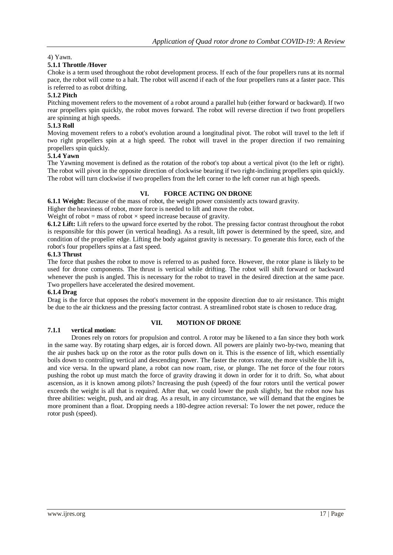## 4) Yawn.

## **5.1.1 Throttle /Hover**

Choke is a term used throughout the robot development process. If each of the four propellers runs at its normal pace, the robot will come to a halt. The robot will ascend if each of the four propellers runs at a faster pace. This is referred to as robot drifting.

## **5.1.2 Pitch**

Pitching movement refers to the movement of a robot around a parallel hub (either forward or backward). If two rear propellers spin quickly, the robot moves forward. The robot will reverse direction if two front propellers are spinning at high speeds.

## **5.1.3 Roll**

Moving movement refers to a robot's evolution around a longitudinal pivot. The robot will travel to the left if two right propellers spin at a high speed. The robot will travel in the proper direction if two remaining propellers spin quickly.

## **5.1.4 Yawn**

The Yawning movement is defined as the rotation of the robot's top about a vertical pivot (to the left or right). The robot will pivot in the opposite direction of clockwise bearing if two right-inclining propellers spin quickly. The robot will turn clockwise if two propellers from the left corner to the left corner run at high speeds.

## **VI. FORCE ACTING ON DRONE**

**6.1.1 Weight:** Because of the mass of robot, the weight power consistently acts toward gravity.

Higher the heaviness of robot, more force is needed to lift and move the robot.

Weight of robot = mass of robot  $\times$  speed increase because of gravity.

**6.1.2 Lift:** Lift refers to the upward force exerted by the robot. The pressing factor contrast throughout the robot is responsible for this power (in vertical heading). As a result, lift power is determined by the speed, size, and condition of the propeller edge. Lifting the body against gravity is necessary. To generate this force, each of the robot's four propellers spins at a fast speed.

#### **6.1.3 Thrust**

The force that pushes the robot to move is referred to as pushed force. However, the rotor plane is likely to be used for drone components. The thrust is vertical while drifting. The robot will shift forward or backward whenever the push is angled. This is necessary for the robot to travel in the desired direction at the same pace. Two propellers have accelerated the desired movement.

## **6.1.4 Drag**

Drag is the force that opposes the robot's movement in the opposite direction due to air resistance. This might be due to the air thickness and the pressing factor contrast. A streamlined robot state is chosen to reduce drag.

## **VII. MOTION OF DRONE**

## **7.1.1 vertical motion:**

Drones rely on rotors for propulsion and control. A rotor may be likened to a fan since they both work in the same way. By rotating sharp edges, air is forced down. All powers are plainly two-by-two, meaning that the air pushes back up on the rotor as the rotor pulls down on it. This is the essence of lift, which essentially boils down to controlling vertical and descending power. The faster the rotors rotate, the more visible the lift is, and vice versa. In the upward plane, a robot can now roam, rise, or plunge. The net force of the four rotors pushing the robot up must match the force of gravity drawing it down in order for it to drift. So, what about ascension, as it is known among pilots? Increasing the push (speed) of the four rotors until the vertical power exceeds the weight is all that is required. After that, we could lower the push slightly, but the robot now has three abilities: weight, push, and air drag. As a result, in any circumstance, we will demand that the engines be more prominent than a float. Dropping needs a 180-degree action reversal: To lower the net power, reduce the rotor push (speed).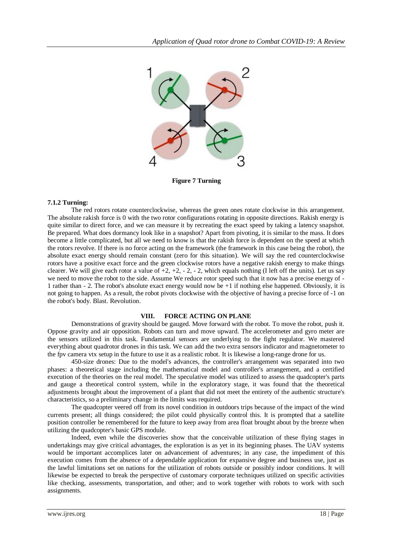

**Figure 7 Turning**

#### **7.1.2 Turning:**

The red rotors rotate counterclockwise, whereas the green ones rotate clockwise in this arrangement. The absolute rakish force is 0 with the two rotor configurations rotating in opposite directions. Rakish energy is quite similar to direct force, and we can measure it by recreating the exact speed by taking a latency snapshot. Be prepared. What does dormancy look like in a snapshot? Apart from pivoting, it is similar to the mass. It does become a little complicated, but all we need to know is that the rakish force is dependent on the speed at which the rotors revolve. If there is no force acting on the framework (the framework in this case being the robot), the absolute exact energy should remain constant (zero for this situation). We will say the red counterclockwise rotors have a positive exact force and the green clockwise rotors have a negative rakish energy to make things clearer. We will give each rotor a value of  $+2$ ,  $+2$ ,  $-2$ ,  $-2$ , which equals nothing (I left off the units). Let us say we need to move the robot to the side. Assume We reduce rotor speed such that it now has a precise energy of - 1 rather than - 2. The robot's absolute exact energy would now be +1 if nothing else happened. Obviously, it is not going to happen. As a result, the robot pivots clockwise with the objective of having a precise force of -1 on the robot's body. Blast. Revolution.

#### **VIII. FORCE ACTING ON PLANE**

Demonstrations of gravity should be gauged. Move forward with the robot. To move the robot, push it. Oppose gravity and air opposition. Robots can turn and move upward. The accelerometer and gyro meter are the sensors utilized in this task. Fundamental sensors are underlying to the fight regulator. We mastered everything about quadrotor drones in this task. We can add the two extra sensors indicator and magnetometer to the fpv camera vtx setup in the future to use it as a realistic robot. It is likewise a long-range drone for us.

450-size drones: Due to the model's advances, the controller's arrangement was separated into two phases: a theoretical stage including the mathematical model and controller's arrangement, and a certified execution of the theories on the real model. The speculative model was utilized to assess the quadcopter's parts and gauge a theoretical control system, while in the exploratory stage, it was found that the theoretical adjustments brought about the improvement of a plant that did not meet the entirety of the authentic structure's characteristics, so a preliminary change in the limits was required.

The quadcopter veered off from its novel condition in outdoors trips because of the impact of the wind currents present; all things considered; the pilot could physically control this. It is prompted that a satellite position controller be remembered for the future to keep away from area float brought about by the breeze when utilizing the quadcopter's basic GPS module.

Indeed, even while the discoveries show that the conceivable utilization of these flying stages in undertakings may give critical advantages, the exploration is as yet in its beginning phases. The UAV systems would be important accomplices later on advancement of adventures; in any case, the impediment of this execution comes from the absence of a dependable application for expansive degree and business use, just as the lawful limitations set on nations for the utilization of robots outside or possibly indoor conditions. It will likewise be expected to break the perspective of customary corporate techniques utilized on specific activities like checking, assessments, transportation, and other; and to work together with robots to work with such assignments.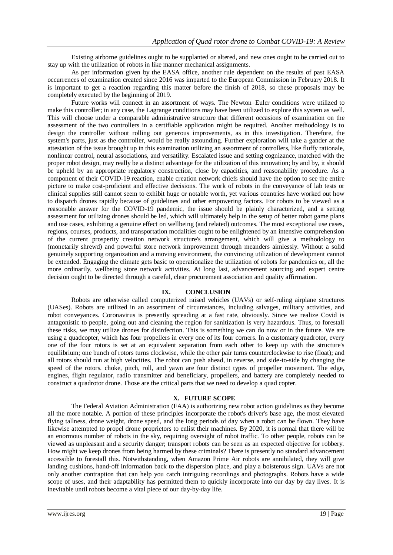Existing airborne guidelines ought to be supplanted or altered, and new ones ought to be carried out to stay up with the utilization of robots in like manner mechanical assignments.

As per information given by the EASA office, another rule dependent on the results of past EASA occurrences of examination created since 2016 was imparted to the European Commission in February 2018. It is important to get a reaction regarding this matter before the finish of 2018, so these proposals may be completely executed by the beginning of 2019.

Future works will connect in an assortment of ways. The Newton–Euler conditions were utilized to make this controller; in any case, the Lagrange conditions may have been utilized to explore this system as well. This will choose under a comparable administrative structure that different occasions of examination on the assessment of the two controllers in a certifiable application might be required. Another methodology is to design the controller without rolling out generous improvements, as in this investigation. Therefore, the system's parts, just as the controller, would be really astounding. Further exploration will take a gander at the attestation of the issue brought up in this examination utilizing an assortment of controllers, like fluffy rationale, nonlinear control, neural associations, and versatility. Escalated issue and setting cognizance, matched with the proper robot design, may really be a distinct advantage for the utilization of this innovation; by and by, it should be upheld by an appropriate regulatory construction, close by capacities, and reasonability procedure. As a component of their COVID-19 reaction, enable creation network chiefs should have the option to see the entire picture to make cost-proficient and effective decisions. The work of robots in the conveyance of lab tests or clinical supplies still cannot seem to exhibit huge or notable worth, yet various countries have worked out how to dispatch drones rapidly because of guidelines and other empowering factors. For robots to be viewed as a reasonable answer for the COVID-19 pandemic, the issue should be plainly characterized, and a setting assessment for utilizing drones should be led, which will ultimately help in the setup of better robot game plans and use cases, exhibiting a genuine effect on wellbeing (and related) outcomes. The most exceptional use cases, regions, courses, products, and transportation modalities ought to be enlightened by an intensive comprehension of the current prosperity creation network structure's arrangement, which will give a methodology to (monetarily shrewd) and powerful store network improvement through meanders aimlessly. Without a solid genuinely supporting organization and a moving environment, the convincing utilization of development cannot be extended. Engaging the climate gets basic to operationalize the utilization of robots for pandemics or, all the more ordinarily, wellbeing store network activities. At long last, advancement sourcing and expert centre decision ought to be directed through a careful, clear procurement association and quality affirmation.

#### **IX. CONCLUSION**

Robots are otherwise called computerized raised vehicles (UAVs) or self-ruling airplane structures (UASes). Robots are utilized in an assortment of circumstances, including salvages, military activities, and robot conveyances. Coronavirus is presently spreading at a fast rate, obviously. Since we realize Covid is antagonistic to people, going out and cleaning the region for sanitization is very hazardous. Thus, to forestall these risks, we may utilize drones for disinfection. This is something we can do now or in the future. We are using a quadcopter, which has four propellers in every one of its four corners. In a customary quadrotor, every one of the four rotors is set at an equivalent separation from each other to keep up with the structure's equilibrium; one bunch of rotors turns clockwise, while the other pair turns counterclockwise to rise (float); and all rotors should run at high velocities. The robot can push ahead, in reverse, and side-to-side by changing the speed of the rotors. choke, pitch, roll, and yawn are four distinct types of propeller movement. The edge, engines, flight regulator, radio transmitter and beneficiary, propellers, and battery are completely needed to construct a quadrotor drone. Those are the critical parts that we need to develop a quad copter.

#### **X. FUTURE SCOPE**

The Federal Aviation Administration (FAA) is authorizing new robot action guidelines as they become all the more notable. A portion of these principles incorporate the robot's driver's base age, the most elevated flying tallness, drone weight, drone speed, and the long periods of day when a robot can be flown. They have likewise attempted to propel drone proprietors to enlist their machines. By 2020, it is normal that there will be an enormous number of robots in the sky, requiring oversight of robot traffic. To other people, robots can be viewed as unpleasant and a security danger; transport robots can be seen as an expected objective for robbery. How might we keep drones from being harmed by these criminals? There is presently no standard advancement accessible to forestall this. Notwithstanding, when Amazon Prime Air robots are annihilated, they will give landing cushions, hand-off information back to the dispersion place, and play a boisterous sign. UAVs are not only another contraption that can help you catch intriguing recordings and photographs. Robots have a wide scope of uses, and their adaptability has permitted them to quickly incorporate into our day by day lives. It is inevitable until robots become a vital piece of our day-by-day life.